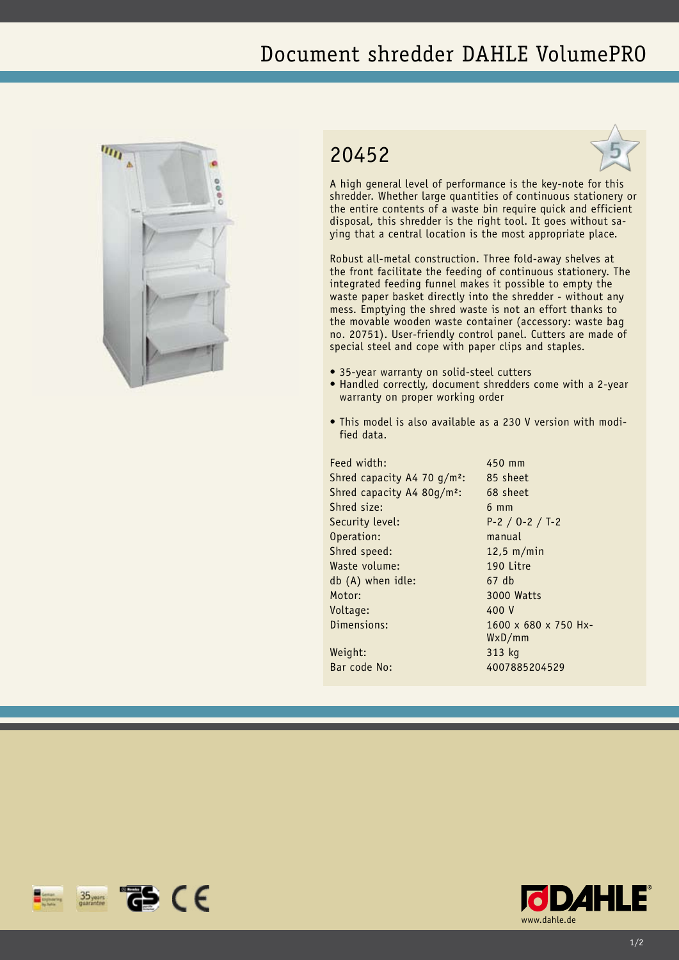## Document shredder DAHLE VolumePRO



## 20452



A high general level of performance is the key-note for this shredder. Whether large quantities of continuous stationery or the entire contents of a waste bin require quick and efficient disposal, this shredder is the right tool. It goes without saying that a central location is the most appropriate place.

Robust all-metal construction. Three fold-away shelves at the front facilitate the feeding of continuous stationery. The integrated feeding funnel makes it possible to empty the waste paper basket directly into the shredder - without any mess. Emptying the shred waste is not an effort thanks to the movable wooden waste container (accessory: waste bag no. 20751). User-friendly control panel. Cutters are made of special steel and cope with paper clips and staples.

- 35-year warranty on solid-steel cutters
- Handled correctly, document shredders come with a 2-year warranty on proper working order
- This model is also available as a 230 V version with modified data.

Feed width: 450 mm Shred capacity A4 70 g/m<sup>2</sup>: 85 sheet Shred capacity A4 80g/m²: 68 sheet Shred size: 6 mm Security level: P-2 / O-2 / T-2 Operation: manual Shred speed: 12,5 m/min Waste volume: 190 Litre db (A) when idle: 67 db Motor: 3000 Watts Voltage: 400 V Dimensions: 1600 x 680 x 750 Hx-Weight: 313 kg

WxD/mm Bar code No: 4007885204529